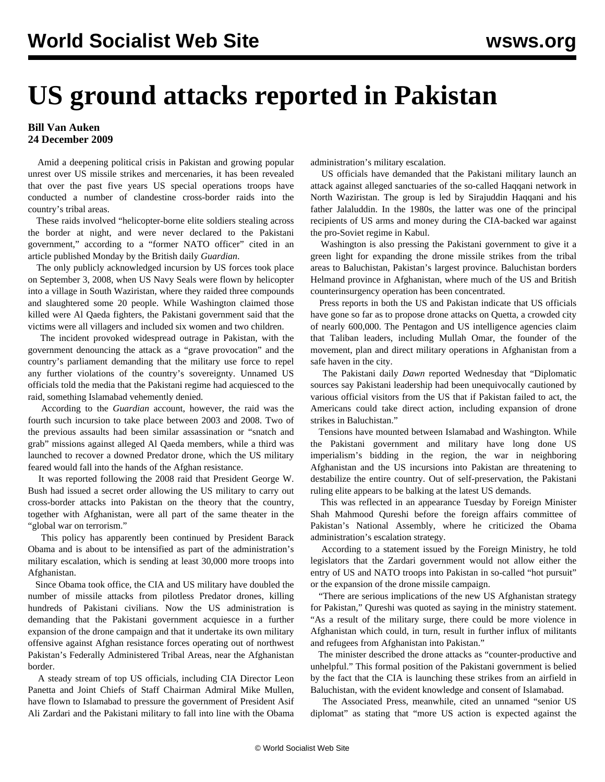## **US ground attacks reported in Pakistan**

## **Bill Van Auken 24 December 2009**

 Amid a deepening political crisis in Pakistan and growing popular unrest over US missile strikes and mercenaries, it has been revealed that over the past five years US special operations troops have conducted a number of clandestine cross-border raids into the country's tribal areas.

 These raids involved "helicopter-borne elite soldiers stealing across the border at night, and were never declared to the Pakistani government," according to a "former NATO officer" cited in an article published Monday by the British daily *Guardian*.

 The only publicly acknowledged incursion by US forces took place on September 3, 2008, when US Navy Seals were flown by helicopter into a village in South Waziristan, where they raided three compounds and slaughtered some 20 people. While Washington claimed those killed were Al Qaeda fighters, the Pakistani government said that the victims were all villagers and included six women and two children.

 The incident provoked widespread outrage in Pakistan, with the government denouncing the attack as a "grave provocation" and the country's parliament demanding that the military use force to repel any further violations of the country's sovereignty. Unnamed US officials told the media that the Pakistani regime had acquiesced to the raid, something Islamabad vehemently denied.

 According to the *Guardian* account, however, the raid was the fourth such incursion to take place between 2003 and 2008. Two of the previous assaults had been similar assassination or "snatch and grab" missions against alleged Al Qaeda members, while a third was launched to recover a downed Predator drone, which the US military feared would fall into the hands of the Afghan resistance.

 It was reported following the 2008 raid that President George W. Bush had issued a secret order allowing the US military to carry out cross-border attacks into Pakistan on the theory that the country, together with Afghanistan, were all part of the same theater in the "global war on terrorism."

 This policy has apparently been continued by President Barack Obama and is about to be intensified as part of the administration's military escalation, which is sending at least 30,000 more troops into Afghanistan.

 Since Obama took office, the CIA and US military have doubled the number of missile attacks from pilotless Predator drones, killing hundreds of Pakistani civilians. Now the US administration is demanding that the Pakistani government acquiesce in a further expansion of the drone campaign and that it undertake its own military offensive against Afghan resistance forces operating out of northwest Pakistan's Federally Administered Tribal Areas, near the Afghanistan border.

 A steady stream of top US officials, including CIA Director Leon Panetta and Joint Chiefs of Staff Chairman Admiral Mike Mullen, have flown to Islamabad to pressure the government of President Asif Ali Zardari and the Pakistani military to fall into line with the Obama administration's military escalation.

 US officials have demanded that the Pakistani military launch an attack against alleged sanctuaries of the so-called Haqqani network in North Waziristan. The group is led by Sirajuddin Haqqani and his father Jalaluddin. In the 1980s, the latter was one of the principal recipients of US arms and money during the CIA-backed war against the pro-Soviet regime in Kabul.

 Washington is also pressing the Pakistani government to give it a green light for expanding the drone missile strikes from the tribal areas to Baluchistan, Pakistan's largest province. Baluchistan borders Helmand province in Afghanistan, where much of the US and British counterinsurgency operation has been concentrated.

 Press reports in both the US and Pakistan indicate that US officials have gone so far as to propose drone attacks on Quetta, a crowded city of nearly 600,000. The Pentagon and US intelligence agencies claim that Taliban leaders, including Mullah Omar, the founder of the movement, plan and direct military operations in Afghanistan from a safe haven in the city.

 The Pakistani daily *Dawn* reported Wednesday that "Diplomatic sources say Pakistani leadership had been unequivocally cautioned by various official visitors from the US that if Pakistan failed to act, the Americans could take direct action, including expansion of drone strikes in Baluchistan."

 Tensions have mounted between Islamabad and Washington. While the Pakistani government and military have long done US imperialism's bidding in the region, the war in neighboring Afghanistan and the US incursions into Pakistan are threatening to destabilize the entire country. Out of self-preservation, the Pakistani ruling elite appears to be balking at the latest US demands.

 This was reflected in an appearance Tuesday by Foreign Minister Shah Mahmood Qureshi before the foreign affairs committee of Pakistan's National Assembly, where he criticized the Obama administration's escalation strategy.

 According to a statement issued by the Foreign Ministry, he told legislators that the Zardari government would not allow either the entry of US and NATO troops into Pakistan in so-called "hot pursuit" or the expansion of the drone missile campaign.

 "There are serious implications of the new US Afghanistan strategy for Pakistan," Qureshi was quoted as saying in the ministry statement. "As a result of the military surge, there could be more violence in Afghanistan which could, in turn, result in further influx of militants and refugees from Afghanistan into Pakistan."

 The minister described the drone attacks as "counter-productive and unhelpful." This formal position of the Pakistani government is belied by the fact that the CIA is launching these strikes from an airfield in Baluchistan, with the evident knowledge and consent of Islamabad.

 The Associated Press, meanwhile, cited an unnamed "senior US diplomat" as stating that "more US action is expected against the